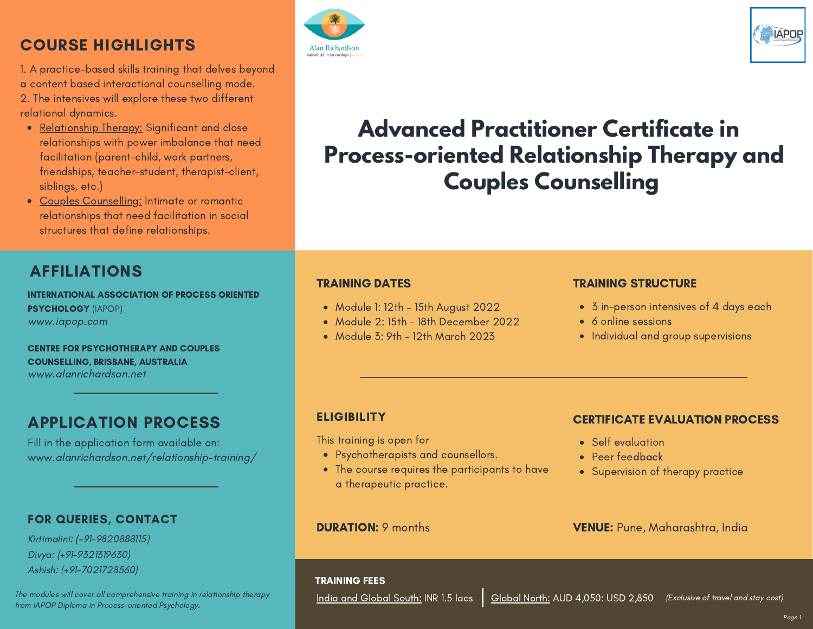### COURSE HIGHLIGHTS

1. A practice-based skills training that delves beyond a content based interactional counselling mode. 2. The intensives will explore these two different relational dynamics.

- Relationship Therapy: Significant and close relationships with power imbalance that need facilitation (parent-child, work partners, friendships, teacher-student, therapist-client, siblings, etc.)
- Couples Counselling: Intimate or romantic relationships that need facilitation in social structures that define relationships.

### AFFILIATIONS

INTERNATIONAL ASSOCIATION OF PROCESS ORIENTED PSYCHOLOGY (IAPOP) www.iapop.com

CENTRE FOR PSYCHOTHERAPY AND COUPLES COUNSELLING, BRISBANE, AUSTRALIA www.alanrichardson.net

### APPLICATION PROCESS

Fill in the application form available on: www.alanrichardson.net/relationship-training/

#### FOR QUERIES, CONTACT

Kirtimalini: (+91-9820888115) Divya: (+91-9321319630) Ashish: (+91-7021728560)

The modules will cover all comprehensive training in relationship therapy from IAPOP Diploma in Process-oriented Psychology.





# **Advanced Practitioner Certificate in Process-oriented Relationship Therapy and Couples Counselling**

#### TRAINING DATES

- Module 1: 12th 15th August 2022
- Module 2: 15th 18th December 2022
- Module 3: 9th 12th March 2023

#### TRAINING STRUCTURE

- 3 in-person intensives of 4 days each
- 6 online sessions
- Individual and group supervisions

#### **ELIGIBILITY**

This training is open for Self evaluation

- Psychotherapists and counsellors.
- The course requires the participants to have a therapeutic practice.

#### DURATION: 9 months

#### CERTIFICATE EVALUATION PROCESS

- 
- Peer feedback
- Supervision of therapy practice

#### VENUE: Pune, Maharashtra, India

<u>India and Global South:</u> INR 1.5 lacs | <u>Global North:</u> AUD 4,050: USD 2,850 (Exclusive of travel and stay cost)